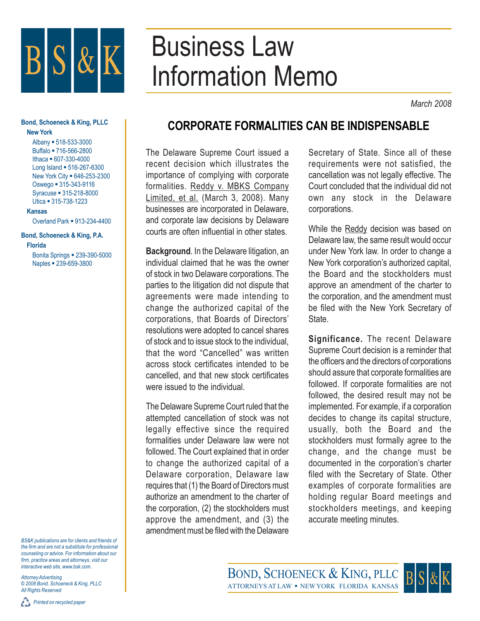

## Business Law Information Memo

*March 2008*

## **Bond, Schoeneck & King, PLLC New York**

Albany = 518-533-3000 Buffalo = 716-566-2800 Ithaca 607-330-4000 Long Island = 516-267-6300 New York City = 646-253-2300 Oswego = 315-343-9116 Syracuse 315-218-8000 Utica = 315-738-1223

**Kansas**

Overland Park = 913-234-4400

**Bond, Schoeneck & King, P.A. Florida** Bonita Springs = 239-390-5000

Naples **239-659-3800** 

*BS&K publications are for clients and friends of the firm and are not a substitute for professional counseling or advice. For information about our firm, practice areas and attorneys, visit our interactive web site, www.bsk.com.*

*Attorney Advertising © 2008 Bond, Schoeneck & King, PLLC All Rights Reserved*

## **CORPORATE FORMALITIES CAN BE INDISPENSABLE**

The Delaware Supreme Court issued a recent decision which illustrates the importance of complying with corporate formalities. Reddy v. MBKS Company Limited, et al. (March 3, 2008). Many businesses are incorporated in Delaware, and corporate law decisions by Delaware courts are often influential in other states.

**Background**. In the Delaware litigation, an individual claimed that he was the owner of stock in two Delaware corporations. The parties to the litigation did not dispute that agreements were made intending to change the authorized capital of the corporations, that Boards of Directors' resolutions were adopted to cancel shares of stock and to issue stock to the individual, that the word "Cancelled" was written across stock certificates intended to be cancelled, and that new stock certificates were issued to the individual.

The Delaware Supreme Court ruled that the attempted cancellation of stock was not legally effective since the required formalities under Delaware law were not followed. The Court explained that in order to change the authorized capital of a Delaware corporation, Delaware law requires that (1) the Board of Directors must authorize an amendment to the charter of the corporation, (2) the stockholders must approve the amendment, and (3) the amendment must be filed with the Delaware

Secretary of State. Since all of these requirements were not satisfied, the cancellation was not legally effective. The Court concluded that the individual did not own any stock in the Delaware corporations.

While the Reddy decision was based on Delaware law, the same result would occur under New York law. In order to change a New York corporation's authorized capital, the Board and the stockholders must approve an amendment of the charter to the corporation, and the amendment must be filed with the New York Secretary of State.

**Significance.** The recent Delaware Supreme Court decision is a reminder that the officers and the directors of corporations should assure that corporate formalities are followed. If corporate formalities are not followed, the desired result may not be implemented. For example, if a corporation decides to change its capital structure, usually, both the Board and the stockholders must formally agree to the change, and the change must be documented in the corporation's charter filed with the Secretary of State. Other examples of corporate formalities are holding regular Board meetings and stockholders meetings, and keeping accurate meeting minutes.